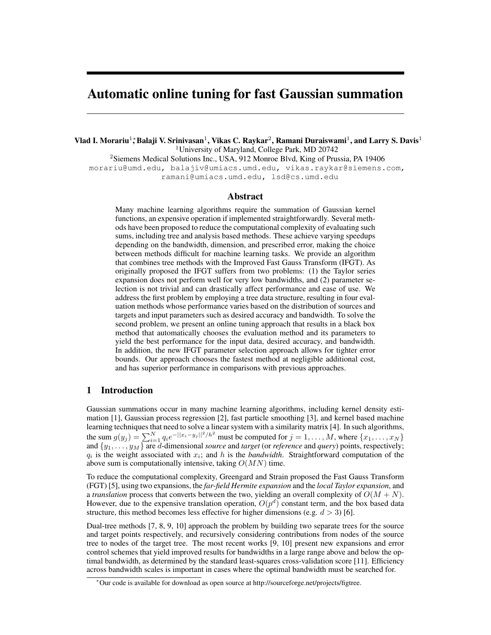# Automatic online tuning for fast Gaussian summation

Vlad I. Morariu $^1;$ Balaji V. Srinivasan $^1$ , Vikas C. Raykar $^2$ , Ramani Duraiswami $^1$ , and Larry S. Davis $^1$ <sup>1</sup>University of Maryland, College Park, MD 20742 <sup>2</sup>Siemens Medical Solutions Inc., USA, 912 Monroe Blvd, King of Prussia, PA 19406 morariu@umd.edu, balajiv@umiacs.umd.edu, vikas.raykar@siemens.com,

ramani@umiacs.umd.edu, lsd@cs.umd.edu

# Abstract

Many machine learning algorithms require the summation of Gaussian kernel functions, an expensive operation if implemented straightforwardly. Several methods have been proposed to reduce the computational complexity of evaluating such sums, including tree and analysis based methods. These achieve varying speedups depending on the bandwidth, dimension, and prescribed error, making the choice between methods difficult for machine learning tasks. We provide an algorithm that combines tree methods with the Improved Fast Gauss Transform (IFGT). As originally proposed the IFGT suffers from two problems: (1) the Taylor series expansion does not perform well for very low bandwidths, and (2) parameter selection is not trivial and can drastically affect performance and ease of use. We address the first problem by employing a tree data structure, resulting in four evaluation methods whose performance varies based on the distribution of sources and targets and input parameters such as desired accuracy and bandwidth. To solve the second problem, we present an online tuning approach that results in a black box method that automatically chooses the evaluation method and its parameters to yield the best performance for the input data, desired accuracy, and bandwidth. In addition, the new IFGT parameter selection approach allows for tighter error bounds. Our approach chooses the fastest method at negligible additional cost, and has superior performance in comparisons with previous approaches.

# 1 Introduction

Gaussian summations occur in many machine learning algorithms, including kernel density estimation [1], Gaussian process regression [2], fast particle smoothing [3], and kernel based machine learning techniques that need to solve a linear system with a similarity matrix [4]. In such algorithms, the sum  $g(y_j) = \sum_{i=1}^{N} q_i e^{-||x_i - y_j||^2/h^2}$  must be computed for  $j = 1, ..., M$ , where  $\{x_1, ..., x_N\}$ and  $\{y_1, \ldots, y_M\}$  are d-dimensional *source* and *target* (or *reference* and *query*) points, respectively;  $q_i$  is the weight associated with  $x_i$ ; and h is the *bandwidth*. Straightforward computation of the above sum is computationally intensive, taking  $O(MN)$  time.

To reduce the computational complexity, Greengard and Strain proposed the Fast Gauss Transform (FGT) [5], using two expansions, the *far-field Hermite expansion* and the *local Taylor expansion*, and a *translation* process that converts between the two, yielding an overall complexity of  $O(M + N)$ . However, due to the expensive translation operation,  $O(p^d)$  constant term, and the box based data structure, this method becomes less effective for higher dimensions (e.g.  $d > 3$ ) [6].

Dual-tree methods [7, 8, 9, 10] approach the problem by building two separate trees for the source and target points respectively, and recursively considering contributions from nodes of the source tree to nodes of the target tree. The most recent works [9, 10] present new expansions and error control schemes that yield improved results for bandwidths in a large range above and below the optimal bandwidth, as determined by the standard least-squares cross-validation score [11]. Efficiency across bandwidth scales is important in cases where the optimal bandwidth must be searched for.

<sup>∗</sup>Our code is available for download as open source at http://sourceforge.net/projects/figtree.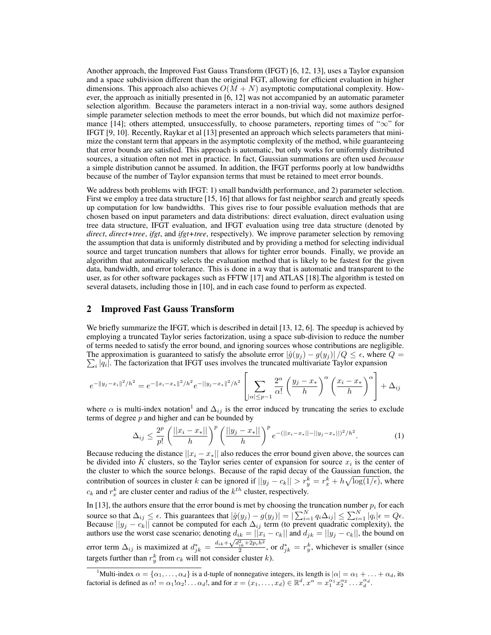Another approach, the Improved Fast Gauss Transform (IFGT) [6, 12, 13], uses a Taylor expansion and a space subdivision different than the original FGT, allowing for efficient evaluation in higher dimensions. This approach also achieves  $O(M + N)$  asymptotic computational complexity. However, the approach as initially presented in [6, 12] was not accompanied by an automatic parameter selection algorithm. Because the parameters interact in a non-trivial way, some authors designed simple parameter selection methods to meet the error bounds, but which did not maximize performance [14]; others attempted, unsuccessfully, to choose parameters, reporting times of " $\infty$ " for IFGT [9, 10]. Recently, Raykar et al [13] presented an approach which selects parameters that minimize the constant term that appears in the asymptotic complexity of the method, while guaranteeing that error bounds are satisfied. This approach is automatic, but only works for uniformly distributed sources, a situation often not met in practice. In fact, Gaussian summations are often used *because* a simple distribution cannot be assumed. In addition, the IFGT performs poorly at low bandwidths because of the number of Taylor expansion terms that must be retained to meet error bounds.

We address both problems with IFGT: 1) small bandwidth performance, and 2) parameter selection. First we employ a tree data structure [15, 16] that allows for fast neighbor search and greatly speeds up computation for low bandwidths. This gives rise to four possible evaluation methods that are chosen based on input parameters and data distributions: direct evaluation, direct evaluation using tree data structure, IFGT evaluation, and IFGT evaluation using tree data structure (denoted by *direct*, *direct+tree*, *ifgt*, and *ifgt+tree*, respectively). We improve parameter selection by removing the assumption that data is uniformly distributed and by providing a method for selecting individual source and target truncation numbers that allows for tighter error bounds. Finally, we provide an algorithm that automatically selects the evaluation method that is likely to be fastest for the given data, bandwidth, and error tolerance. This is done in a way that is automatic and transparent to the user, as for other software packages such as FFTW [17] and ATLAS [18].The algorithm is tested on several datasets, including those in [10], and in each case found to perform as expected.

## 2 Improved Fast Gauss Transform

We briefly summarize the IFGT, which is described in detail [13, 12, 6]. The speedup is achieved by employing a truncated Taylor series factorization, using a space sub-division to reduce the number of terms needed to satisfy the error bound, and ignoring sources whose contributions are negligible. The approximation is guaranteed to satisfy the absolute error  $|\hat{g}(y_j) - g(y_j)|/Q \leq \epsilon$ , where  $Q = \sum_{j=1}^{\infty}$  $\sum_i |q_i|$ . The factorization that IFGT uses involves the truncated multivariate Taylor expansion

$$
e^{-\|y_j - x_i\|^2/h^2} = e^{-\|x_i - x_*\|^2/h^2} e^{-\|y_j - x_*\|^2/h^2} \left[ \sum_{|\alpha| \leq p-1} \frac{2^{\alpha}}{\alpha!} \left( \frac{y_j - x_*}{h} \right)^{\alpha} \left( \frac{x_i - x_*}{h} \right)^{\alpha} \right] + \Delta_{ij}
$$

where  $\alpha$  is multi-index notation<sup>1</sup> and  $\Delta_{ij}$  is the error induced by truncating the series to exclude terms of degree  $p$  and higher and can be bounded by

$$
\Delta_{ij} \le \frac{2^p}{p!} \left( \frac{||x_i - x_*||}{h} \right)^p \left( \frac{||y_j - x_*||}{h} \right)^p e^{-(||x_i - x_*|| - ||y_j - x_*||)^2/h^2}.
$$
 (1)

Because reducing the distance  $||x_i - x_*||$  also reduces the error bound given above, the sources can be divided into K clusters, so the Taylor series center of expansion for source  $x_i$  is the center of the cluster to which the source belongs. Because of the rapid decay of the Gaussian function, the contribution of sources in cluster k can be ignored if  $||y_j - c_k|| > r_y^k = r_x^k + h\sqrt{\log(1/\epsilon)}$ , where  $c_k$  and  $r_x^k$  are cluster center and radius of the  $k^{th}$  cluster, respectively.

In [13], the authors ensure that the error bound is met by choosing the truncation number  $p_i$  for each source so that  $\Delta_{ij} \leq \epsilon$ . This guarantees that  $|\hat{g}(y_j) - g(y_j)| = |\sum_{i=1}^{N} q_i \Delta_{ij}| \leq \sum_{i=1}^{N} |q_i| \epsilon = Q \epsilon$ . Because  $||y_j - c_k||$  cannot be computed for each  $\Delta_{ij}$  term (to prevent quadratic complexity), the authors use the worst case scenario; denoting  $d_{ik} = ||x_i - c_k||$  and  $d_{jk} = ||y_j - c_k||$ , the bound on error term  $\Delta_{ij}$  is maximized at  $d_{jk}^* = \frac{d_{ik} + \sqrt{d_{ik}^2 + 2p_i h^2}}{2}$ , or  $d_{jk}^* = r_y^k$ , whichever is smaller (since targets further than  $r_y^k$  from  $c_k$  will not consider cluster k).

<sup>&</sup>lt;sup>1</sup>Multi-index  $\alpha = \{\alpha_1, \ldots, \alpha_d\}$  is a d-tuple of nonnegative integers, its length is  $|\alpha| = \alpha_1 + \ldots + \alpha_d$ , its factorial is defined as  $\alpha! = \alpha_1! \alpha_2! \dots \alpha_d!$ , and for  $x = (x_1, \dots, x_d) \in \mathbb{R}^d$ ,  $x^{\alpha} = x_1^{\alpha_1} x_2^{\alpha_2} \dots x_d^{\alpha_d}$ .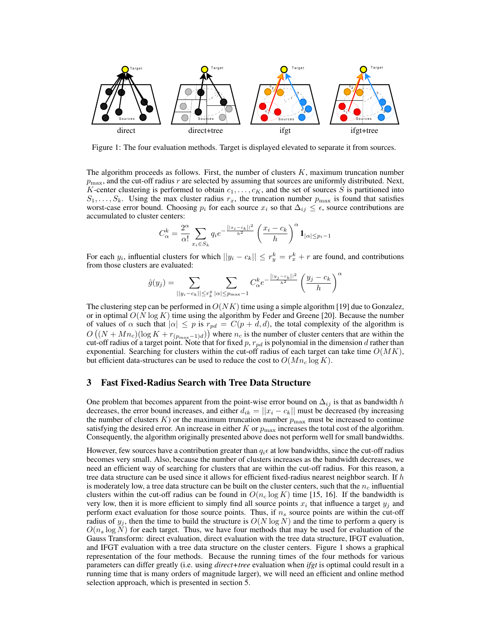

Figure 1: The four evaluation methods. Target is displayed elevated to separate it from sources.

The algorithm proceeds as follows. First, the number of clusters  $K$ , maximum truncation number  $p_{\text{max}}$ , and the cut-off radius r are selected by assuming that sources are uniformly distributed. Next, K-center clustering is performed to obtain  $c_1, \ldots, c_K$ , and the set of sources S is partitioned into  $S_1, \ldots, S_k$ . Using the max cluster radius  $r_x$ , the truncation number  $p_{\text{max}}$  is found that satisfies worst-case error bound. Choosing  $p_i$  for each source  $x_i$  so that  $\Delta_{ij} \leq \epsilon$ , source contributions are accumulated to cluster centers:

$$
C_{\alpha}^{k} = \frac{2^{\alpha}}{\alpha!} \sum_{x_i \in S_k} q_i e^{-\frac{||x_i - c_k||^2}{h^2}} \left(\frac{x_i - c_k}{h}\right)^{\alpha} \mathbf{1}_{|\alpha| \le p_i - 1}
$$

For each  $y_i$ , influential clusters for which  $||y_i - c_k|| \le r_y^k = r_x^k + r$  are found, and contributions from those clusters are evaluated:

$$
\hat{g}(y_j) = \sum_{||y_i - c_k|| \le r_k^y} \sum_{|\alpha| \le p_{\max} - 1} C_{\alpha}^k e^{-\frac{||y_j - c_k||^2}{h^2}} \left(\frac{y_j - c_k}{h}\right)^{\alpha}
$$

The clustering step can be performed in  $O(NK)$  time using a simple algorithm [19] due to Gonzalez, or in optimal  $O(N \log K)$  time using the algorithm by Feder and Greene [20]. Because the number of values of  $\alpha$  such that  $|\alpha| \leq p$  is  $r_{pd} = C(p+d, d)$ , the total complexity of the algorithm is  $O((N+Mn_c)(\log K + r_{(p_{\max}-1)d}))$  where  $n_c$  is the number of cluster centers that are within the cut-off radius of a target point. Note that for fixed p,  $r_{pd}$  is polynomial in the dimension d rather than exponential. Searching for clusters within the cut-off radius of each target can take time  $O(MK)$ , but efficient data-structures can be used to reduce the cost to  $O(Mn_c \log K)$ .

# 3 Fast Fixed-Radius Search with Tree Data Structure

One problem that becomes apparent from the point-wise error bound on  $\Delta_{ij}$  is that as bandwidth h decreases, the error bound increases, and either  $d_{ik} = ||x_i - c_k||$  must be decreased (by increasing the number of clusters K) or the maximum truncation number  $p_{\text{max}}$  must be increased to continue satisfying the desired error. An increase in either K or  $p_{\text{max}}$  increases the total cost of the algorithm. Consequently, the algorithm originally presented above does not perform well for small bandwidths.

However, few sources have a contribution greater than  $q_i \epsilon$  at low bandwidths, since the cut-off radius becomes very small. Also, because the number of clusters increases as the bandwidth decreases, we need an efficient way of searching for clusters that are within the cut-off radius. For this reason, a tree data structure can be used since it allows for efficient fixed-radius nearest neighbor search. If  $h$ is moderately low, a tree data structure can be built on the cluster centers, such that the  $n_c$  influential clusters within the cut-off radius can be found in  $O(n_c \log K)$  time [15, 16]. If the bandwidth is very low, then it is more efficient to simply find all source points  $x_i$  that influence a target  $y_j$  and perform exact evaluation for those source points. Thus, if  $n<sub>s</sub>$  source points are within the cut-off radius of  $y_j$ , then the time to build the structure is  $O(N \log N)$  and the time to perform a query is  $O(n_s \log N)$  for each target. Thus, we have four methods that may be used for evaluation of the Gauss Transform: direct evaluation, direct evaluation with the tree data structure, IFGT evaluation, and IFGT evaluation with a tree data structure on the cluster centers. Figure 1 shows a graphical representation of the four methods. Because the running times of the four methods for various parameters can differ greatly (i.e. using *direct+tree* evaluation when *ifgt* is optimal could result in a running time that is many orders of magnitude larger), we will need an efficient and online method selection approach, which is presented in section 5.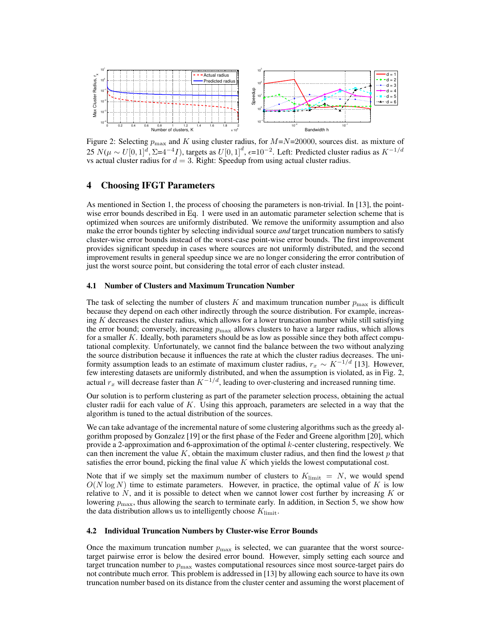

Figure 2: Selecting  $p_{\text{max}}$  and K using cluster radius, for  $M=N=20000$ , sources dist. as mixture of 25  $N(\mu \sim U[0, 1]^d, \Sigma = 4^{-4}I)$ , targets as  $U[0, 1]^d, \epsilon = 10^{-2}$ . Left: Predicted cluster radius as  $K^{-1/d}$ vs actual cluster radius for  $d = 3$ . Right: Speedup from using actual cluster radius.

# 4 Choosing IFGT Parameters

As mentioned in Section 1, the process of choosing the parameters is non-trivial. In [13], the pointwise error bounds described in Eq. 1 were used in an automatic parameter selection scheme that is optimized when sources are uniformly distributed. We remove the uniformity assumption and also make the error bounds tighter by selecting individual source *and* target truncation numbers to satisfy cluster-wise error bounds instead of the worst-case point-wise error bounds. The first improvement provides significant speedup in cases where sources are not uniformly distributed, and the second improvement results in general speedup since we are no longer considering the error contribution of just the worst source point, but considering the total error of each cluster instead.

#### 4.1 Number of Clusters and Maximum Truncation Number

The task of selecting the number of clusters K and maximum truncation number  $p_{\text{max}}$  is difficult because they depend on each other indirectly through the source distribution. For example, increasing  $K$  decreases the cluster radius, which allows for a lower truncation number while still satisfying the error bound; conversely, increasing  $p_{\text{max}}$  allows clusters to have a larger radius, which allows for a smaller K. Ideally, both parameters should be as low as possible since they both affect computational complexity. Unfortunately, we cannot find the balance between the two without analyzing the source distribution because it influences the rate at which the cluster radius decreases. The uniformity assumption leads to an estimate of maximum cluster radius,  $r_x \sim K^{-1/d}$  [13]. However, few interesting datasets are uniformly distributed, and when the assumption is violated, as in Fig. 2, actual  $r_x$  will decrease faster than  $K^{-1/d}$ , leading to over-clustering and increased running time.

Our solution is to perform clustering as part of the parameter selection process, obtaining the actual cluster radii for each value of  $K$ . Using this approach, parameters are selected in a way that the algorithm is tuned to the actual distribution of the sources.

We can take advantage of the incremental nature of some clustering algorithms such as the greedy algorithm proposed by Gonzalez [19] or the first phase of the Feder and Greene algorithm [20], which provide a 2-approximation and 6-approximation of the optimal k-center clustering, respectively. We can then increment the value  $K$ , obtain the maximum cluster radius, and then find the lowest  $p$  that satisfies the error bound, picking the final value  $K$  which yields the lowest computational cost.

Note that if we simply set the maximum number of clusters to  $K_{\text{limit}} = N$ , we would spend  $O(N \log N)$  time to estimate parameters. However, in practice, the optimal value of K is low relative to  $N$ , and it is possible to detect when we cannot lower cost further by increasing  $K$  or lowering  $p_{\text{max}}$ , thus allowing the search to terminate early. In addition, in Section 5, we show how the data distribution allows us to intelligently choose  $K_{\text{limit}}$ .

#### 4.2 Individual Truncation Numbers by Cluster-wise Error Bounds

Once the maximum truncation number  $p_{\text{max}}$  is selected, we can guarantee that the worst sourcetarget pairwise error is below the desired error bound. However, simply setting each source and target truncation number to  $p_{\text{max}}$  wastes computational resources since most source-target pairs do not contribute much error. This problem is addressed in [13] by allowing each source to have its own truncation number based on its distance from the cluster center and assuming the worst placement of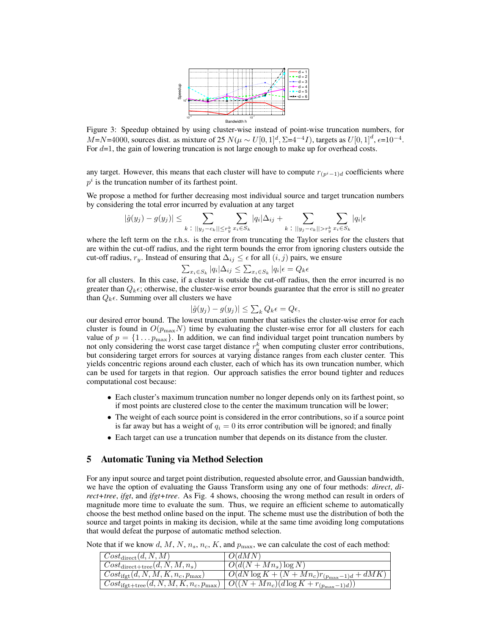

Figure 3: Speedup obtained by using cluster-wise instead of point-wise truncation numbers, for  $M=N=4000$ , sources dist. as mixture of 25  $N(\mu \sim U[0, 1]^d, \Sigma=4^{-4}I)$ , targets as  $U[0, 1]^d, \epsilon=10^{-4}$ . For  $d=1$ , the gain of lowering truncation is not large enough to make up for overhead costs.

any target. However, this means that each cluster will have to compute  $r_{(p^i-1)d}$  coefficients where  $p<sup>i</sup>$  is the truncation number of its farthest point.

We propose a method for further decreasing most individual source and target truncation numbers by considering the total error incurred by evaluation at any target

$$
|\hat{g}(y_j) - g(y_j)| \leq \sum_{k \; : \; ||y_j - c_k|| \leq r_y^k} \sum_{x_i \in S_k} |q_i| \Delta_{ij} + \sum_{k \; : \; ||y_j - c_k|| > r_y^k} \sum_{x_i \in S_k} |q_i| \epsilon
$$

where the left term on the r.h.s. is the error from truncating the Taylor series for the clusters that are within the cut-off radius, and the right term bounds the error from ignoring clusters outside the cut-off radius,  $r_y$ . Instead of ensuring that  $\Delta_{ij} \leq \epsilon$  for all  $(i, j)$  pairs, we ensure

 $\sum_{x_i \in S_k} |q_i| \Delta_{ij} \leq \sum_{x_i \in S_k} |q_i| \epsilon = Q_k \epsilon$ 

for all clusters. In this case, if a cluster is outside the cut-off radius, then the error incurred is no greater than  $Q_k \epsilon$ ; otherwise, the cluster-wise error bounds guarantee that the error is still no greater than  $Q_k \epsilon$ . Summing over all clusters we have

$$
|\hat{g}(y_j) - g(y_j)| \le \sum_k Q_k \epsilon = Q\epsilon,
$$

our desired error bound. The lowest truncation number that satisfies the cluster-wise error for each cluster is found in  $O(p_{\text{max}}N)$  time by evaluating the cluster-wise error for all clusters for each value of  $p = \{1 \dots p_{\text{max}}\}.$  In addition, we can find individual target point truncation numbers by not only considering the worst case target distance  $r_y^k$  when computing cluster error contributions, but considering target errors for sources at varying distance ranges from each cluster center. This yields concentric regions around each cluster, each of which has its own truncation number, which can be used for targets in that region. Our approach satisfies the error bound tighter and reduces computational cost because:

- Each cluster's maximum truncation number no longer depends only on its farthest point, so if most points are clustered close to the center the maximum truncation will be lower;
- The weight of each source point is considered in the error contributions, so if a source point is far away but has a weight of  $q_i = 0$  its error contribution will be ignored; and finally
- Each target can use a truncation number that depends on its distance from the cluster.

## 5 Automatic Tuning via Method Selection

For any input source and target point distribution, requested absolute error, and Gaussian bandwidth, we have the option of evaluating the Gauss Transform using any one of four methods: *direct*, *direct+tree*, *ifgt*, and *ifgt+tree*. As Fig. 4 shows, choosing the wrong method can result in orders of magnitude more time to evaluate the sum. Thus, we require an efficient scheme to automatically choose the best method online based on the input. The scheme must use the distribution of both the source and target points in making its decision, while at the same time avoiding long computations that would defeat the purpose of automatic method selection.

Note that if we know d, M, N,  $n_s$ ,  $n_c$ , K, and  $p_{\text{max}}$ , we can calculate the cost of each method:

| $\vert \ \mathit{Cost}_{\mathrm{direct}}(d, N, M) \vert$             | O(dMN)                                                 |
|----------------------------------------------------------------------|--------------------------------------------------------|
| $\vert \text{Cost}_{\text{direct+tree}}(d, N, M, n_s) \vert$         | $O(d(N+Mn_s)\log N)$                                   |
| $\sqrt{Cost_{\rm ifgt}}(d, N, M, K, n_c, p_{\rm max})$               | $\sqrt{O(dN\log K + (N+Mn_c)r_{(p_{\max}-1)d} + dMK)}$ |
| $\mid Cost_{\text{ifgt+tree}}(d, N, M, K, n_c, p_{\text{max}}) \mid$ | $\sqrt{O((N+Mn_c)(d\log K+r_{(p_{\max}-1)d}))}$        |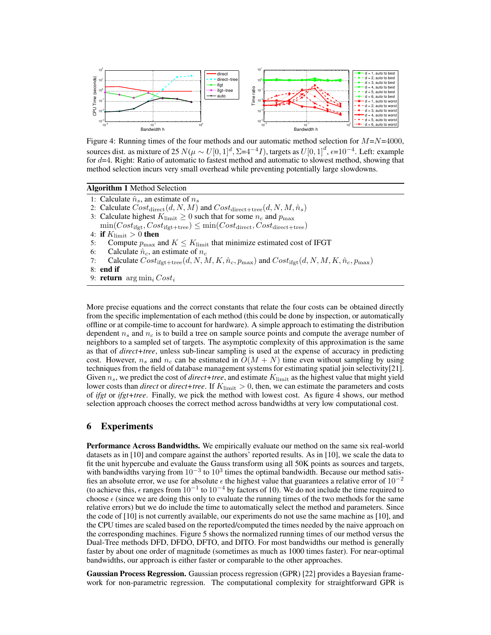

Figure 4: Running times of the four methods and our automatic method selection for  $M=N=4000$ , sources dist. as mixture of 25  $N(\mu \sim U[0, 1]^d, \Sigma = 4^{-4}I)$ , targets as  $U[0, 1]^d$ ,  $\epsilon = 10^{-4}$ . Left: example for  $d=4$ . Right: Ratio of automatic to fastest method and automatic to slowest method, showing that method selection incurs very small overhead while preventing potentially large slowdowns.

Algorithm 1 Method Selection

- 1: Calculate  $\hat{n}_s$ , an estimate of  $n_s$
- 2: Calculate  $Cost_{\text{direct}}(d, N, M)$  and  $Cost_{\text{direct+tree}}(d, N, M, \hat{n}_s)$
- 3: Calculate highest  $K_{\text{limit}} \geq 0$  such that for some  $n_c$  and  $p_{\text{max}}$
- $\min(Cost_{\text{ifet}}, Cost_{\text{ifet+tree}}) \leq \min(Cost_{\text{direct}}, Cost_{\text{direct+tree}})$
- 4: if  $K_{\text{limit}} > 0$  then
- 5: Compute  $p_{\text{max}}$  and  $K \leq K_{\text{limit}}$  that minimize estimated cost of IFGT 6: Calculate  $\hat{n}_c$ , an estimate of  $n_c$
- 6: Calculate  $\hat{n}_c$ , an estimate of  $n_c$ <br>7: Calculate  $Cost_{\text{ifot+tree}}(d, N, M)$
- Calculate  $Cost_{\text{ifgt+tree}}(d, N, M, K, \hat{n}_c, p_{\text{max}})$  and  $Cost_{\text{ifgt}}(d, N, M, K, \hat{n}_c, p_{\text{max}})$
- 8: end if
- 9: **return**  $\arg \min_i Cost_i$

More precise equations and the correct constants that relate the four costs can be obtained directly from the specific implementation of each method (this could be done by inspection, or automatically offline or at compile-time to account for hardware). A simple approach to estimating the distribution dependent  $n_s$  and  $n_c$  is to build a tree on sample source points and compute the average number of neighbors to a sampled set of targets. The asymptotic complexity of this approximation is the same as that of *direct+tree*, unless sub-linear sampling is used at the expense of accuracy in predicting cost. However,  $n_s$  and  $n_c$  can be estimated in  $O(M + N)$  time even without sampling by using techniques from the field of database management systems for estimating spatial join selectivity[21]. Given  $n_s$ , we predict the cost of *direct+tree*, and estimate  $K_{\text{limit}}$  as the highest value that might yield lower costs than *direct* or *direct+tree*. If  $K_{\text{limit}} > 0$ , then, we can estimate the parameters and costs of *ifgt* or *ifgt+tree*. Finally, we pick the method with lowest cost. As figure 4 shows, our method selection approach chooses the correct method across bandwidths at very low computational cost.

# 6 Experiments

Performance Across Bandwidths. We empirically evaluate our method on the same six real-world datasets as in [10] and compare against the authors' reported results. As in [10], we scale the data to fit the unit hypercube and evaluate the Gauss transform using all 50K points as sources and targets, with bandwidths varying from  $10^{-3}$  to  $10^3$  times the optimal bandwidth. Because our method satisfies an absolute error, we use for absolute  $\epsilon$  the highest value that guarantees a relative error of  $10^{-2}$ (to achieve this,  $\epsilon$  ranges from  $10^{-1}$  to  $10^{-4}$  by factors of 10). We do not include the time required to choose  $\epsilon$  (since we are doing this only to evaluate the running times of the two methods for the same relative errors) but we do include the time to automatically select the method and parameters. Since the code of [10] is not currently available, our experiments do not use the same machine as [10], and the CPU times are scaled based on the reported/computed the times needed by the naive approach on the corresponding machines. Figure 5 shows the normalized running times of our method versus the Dual-Tree methods DFD, DFDO, DFTO, and DITO. For most bandwidths our method is generally faster by about one order of magnitude (sometimes as much as 1000 times faster). For near-optimal bandwidths, our approach is either faster or comparable to the other approaches.

Gaussian Process Regression. Gaussian process regression (GPR) [22] provides a Bayesian framework for non-parametric regression. The computational complexity for straightforward GPR is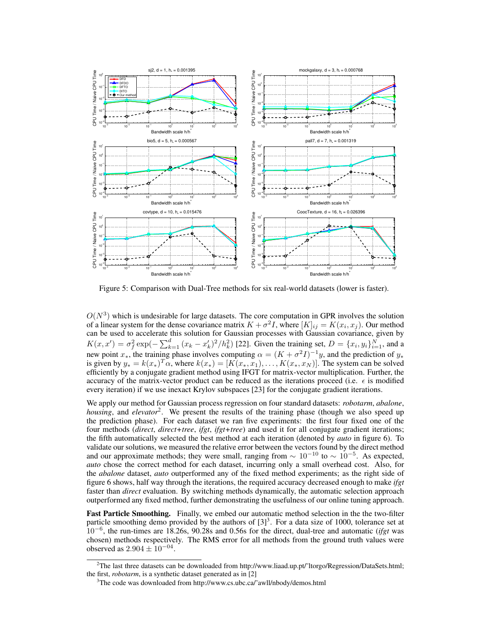

Figure 5: Comparison with Dual-Tree methods for six real-world datasets (lower is faster).

 $O(N^3)$  which is undesirable for large datasets. The core computation in GPR involves the solution of a linear system for the dense covariance matrix  $K + \sigma^2 I$ , where  $[K]_{ij} = K(x_i, x_j)$ . Our method can be used to accelerate this solution for Gaussian processes with Gaussian covariance, given by  $K(x, x') = \sigma_f^2 \exp(-\sum_{k=1}^d (x_k - x'_k)^2 / h_k^2)$  [22]. Given the training set,  $D = \{x_i, y_i\}_{i=1}^N$ , and a new point  $x_*$ , the training phase involves computing  $\alpha = (K + \sigma^2 I)^{-1}y$ , and the prediction of  $y_*$ is given by  $y_* = k(x_*)^T \alpha$ , where  $k(x_*) = [K(x_*, x_1), \dots, K(x_*, x_N)]$ . The system can be solved efficiently by a conjugate gradient method using IFGT for matrix-vector multiplication. Further, the accuracy of the matrix-vector product can be reduced as the iterations proceed (i.e.  $\epsilon$  is modified every iteration) if we use inexact Krylov subspaces [23] for the conjugate gradient iterations.

We apply our method for Gaussian process regression on four standard datasets: *robotarm*, *abalone*, *housing*, and *elevator*<sup>2</sup> . We present the results of the training phase (though we also speed up the prediction phase). For each dataset we ran five experiments: the first four fixed one of the four methods (*direct*, *direct+tree*, *ifgt*, *ifgt+tree*) and used it for all conjugate gradient iterations; the fifth automatically selected the best method at each iteration (denoted by *auto* in figure 6). To validate our solutions, we measured the relative error between the vectors found by the direct method and our approximate methods; they were small, ranging from  $\sim 10^{-10}$  to  $\sim 10^{-5}$ . As expected, *auto* chose the correct method for each dataset, incurring only a small overhead cost. Also, for the *abalone* dataset, *auto* outperformed any of the fixed method experiments; as the right side of figure 6 shows, half way through the iterations, the required accuracy decreased enough to make *ifgt* faster than *direct* evaluation. By switching methods dynamically, the automatic selection approach outperformed any fixed method, further demonstrating the usefulness of our online tuning approach.

Fast Particle Smoothing. Finally, we embed our automatic method selection in the the two-filter particle smoothing demo provided by the authors of  $[3]^3$ . For a data size of 1000, tolerance set at 10<sup>−</sup><sup>6</sup> , the run-times are 18.26s, 90.28s and 0.56s for the direct, dual-tree and automatic (*ifgt* was chosen) methods respectively. The RMS error for all methods from the ground truth values were observed as  $2.904 \pm 10^{-04}$ .

<sup>&</sup>lt;sup>2</sup>The last three datasets can be downloaded from http://www.liaad.up.pt/<sup> $\gamma$ </sup>ltorgo/Regression/DataSets.html; the first, *robotarm*, is a synthetic dataset generated as in [2]

<sup>&</sup>lt;sup>3</sup>The code was downloaded from http://www.cs.ubc.ca/~awll/nbody/demos.html